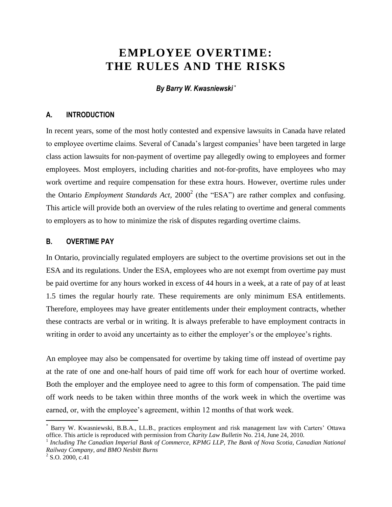# **EMPLOYEE OVERTIME: THE RULES AND THE RISKS**

*By Barry W. Kwasniewski \**

#### **A. INTRODUCTION**

In recent years, some of the most hotly contested and expensive lawsuits in Canada have related to employee overtime claims. Several of Canada's largest companies<sup>1</sup> have been targeted in large class action lawsuits for non-payment of overtime pay allegedly owing to employees and former employees. Most employers, including charities and not-for-profits, have employees who may work overtime and require compensation for these extra hours. However, overtime rules under the Ontario *Employment Standards Act*, 2000<sup>2</sup> (the "ESA") are rather complex and confusing. This article will provide both an overview of the rules relating to overtime and general comments to employers as to how to minimize the risk of disputes regarding overtime claims.

#### **B. OVERTIME PAY**

In Ontario, provincially regulated employers are subject to the overtime provisions set out in the ESA and its regulations. Under the ESA, employees who are not exempt from overtime pay must be paid overtime for any hours worked in excess of 44 hours in a week, at a rate of pay of at least 1.5 times the regular hourly rate. These requirements are only minimum ESA entitlements. Therefore, employees may have greater entitlements under their employment contracts, whether these contracts are verbal or in writing. It is always preferable to have employment contracts in writing in order to avoid any uncertainty as to either the employer's or the employee's rights.

An employee may also be compensated for overtime by taking time off instead of overtime pay at the rate of one and one-half hours of paid time off work for each hour of overtime worked. Both the employer and the employee need to agree to this form of compensation. The paid time off work needs to be taken within three months of the work week in which the overtime was earned, or, with the employee's agreement, within 12 months of that work week.

 $\overline{a}$ 

<sup>\*</sup> Barry W. Kwasniewski, B.B.A., LL.B., practices employment and risk management law with Carters' Ottawa office. This article is reproduced with permission from *Charity Law Bulletin* No. 214, June 24, 2010.

<sup>1</sup> *Including The Canadian Imperial Bank of Commerce, KPMG LLP, The Bank of Nova Scotia, Canadian National Railway Company, and BMO Nesbitt Burns*

 $^{2}$  S.O. 2000, c.41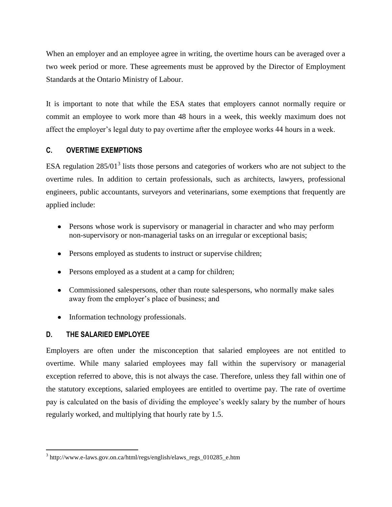When an employer and an employee agree in writing, the overtime hours can be averaged over a two week period or more. These agreements must be approved by the Director of Employment Standards at the Ontario Ministry of Labour.

It is important to note that while the ESA states that employers cannot normally require or commit an employee to work more than 48 hours in a week, this weekly maximum does not affect the employer's legal duty to pay overtime after the employee works 44 hours in a week.

### **C. OVERTIME EXEMPTIONS**

ESA regulation  $285/01<sup>3</sup>$  lists those persons and categories of workers who are not subject to the overtime rules. In addition to certain professionals, such as architects, lawyers, professional engineers, public accountants, surveyors and veterinarians, some exemptions that frequently are applied include:

- Persons whose work is supervisory or managerial in character and who may perform non-supervisory or non-managerial tasks on an irregular or exceptional basis;
- Persons employed as students to instruct or supervise children;
- Persons employed as a student at a camp for children;
- Commissioned salespersons, other than route salespersons, who normally make sales away from the employer's place of business; and
- Information technology professionals.

# **D. THE SALARIED EMPLOYEE**

 $\overline{a}$ 

Employers are often under the misconception that salaried employees are not entitled to overtime. While many salaried employees may fall within the supervisory or managerial exception referred to above, this is not always the case. Therefore, unless they fall within one of the statutory exceptions, salaried employees are entitled to overtime pay. The rate of overtime pay is calculated on the basis of dividing the employee's weekly salary by the number of hours regularly worked, and multiplying that hourly rate by 1.5.

<sup>&</sup>lt;sup>3</sup> http://www.e-laws.gov.on.ca/html/regs/english/elaws\_regs\_010285\_e.htm